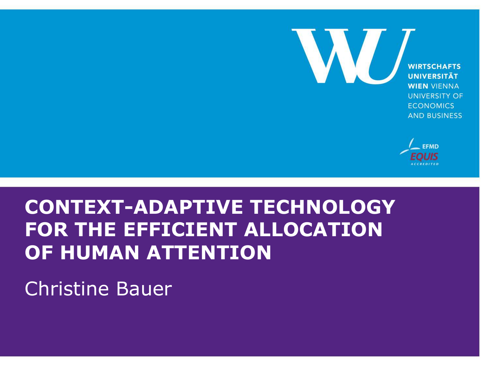

**WIRTSCHAFTS UNIVERSITÄT WIEN VIENNA UNIVERSITY OF ECONOMICS AND BUSINESS** 



### **CONTEXT-ADAPTIVE TECHNOLOGY FOR THE EFFICIENT ALLOCATION OF HUMAN ATTENTION**

#### Christine Bauer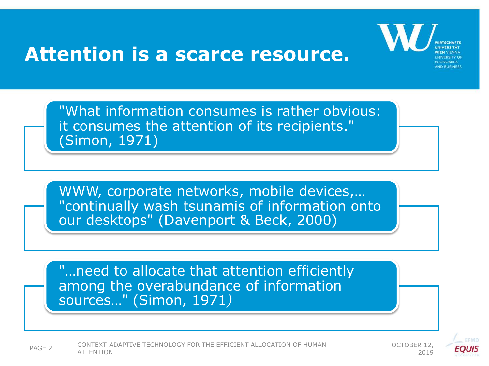#### **Attention is a scarce resource.**



"What information consumes is rather obvious: it consumes the attention of its recipients." (Simon, 1971)

WWW, corporate networks, mobile devices,… "continually wash tsunamis of information onto our desktops" (Davenport & Beck, 2000)

"…need to allocate that attention efficiently among the overabundance of information sources…" (Simon, 1971*)*



PAGE 2 CONTEXT-ADAPTIVE TECHNOLOGY FOR THE EFFICIENT ALLOCATION OF HUMAN CONTEXT-ADAPTIVE TECHNOLOGY FOR THE EFFICIENT ALLOCATION OF HUMAN 2019 ATTENTION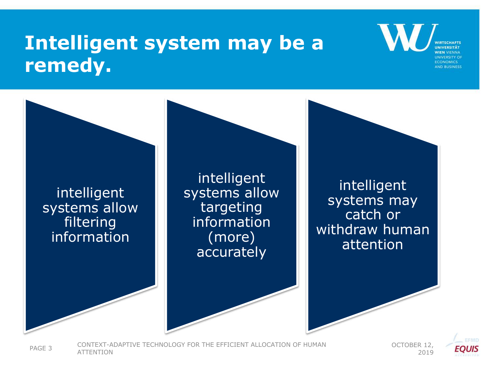### **Intelligent system may be a remedy.**

intelligent systems allow filtering information intelligent systems allow targeting information (more) accurately intelligent systems may catch or withdraw human attention

PAGE 3 CONTEXT-ADAPTIVE TECHNOLOGY FOR THE EFFICIENT ALLOCATION OF HUMAN OCTOBER 12,<br>2019

2019

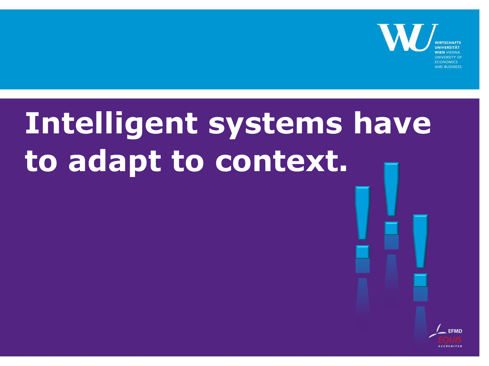

# **Intelligent systems have to adapt to context.**

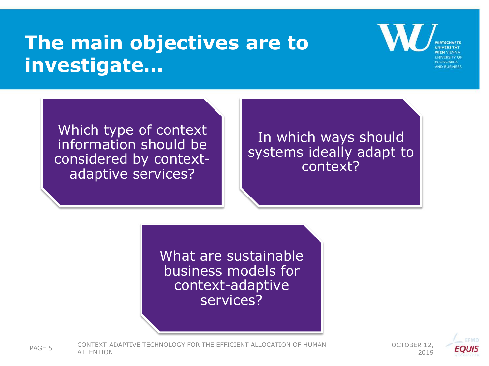### **The main objectives are to investigate…**

Which type of context information should be considered by contextadaptive services?

In which ways should systems ideally adapt to context?

What are sustainable business models for context-adaptive services?

PAGE 5 CONTEXT-ADAPTIVE TECHNOLOGY FOR THE EFFICIENT ALLOCATION OF HUMAN OCTOBER 12,<br>2019



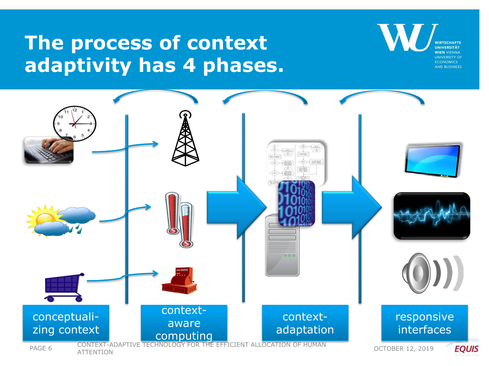### **The process of context adaptivity has 4 phases.**

VIRTSCHAFTS **WIEN VIENNA UNIVERSITY OF ECONOMICS AND RUSINESS** 

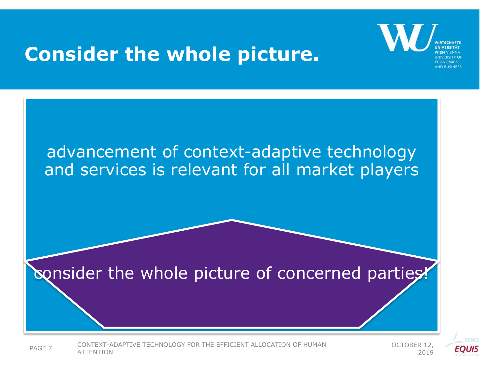#### **Consider the whole picture.**





PAGE 7 CONTEXT-ADAPTIVE TECHNOLOGY FOR THE EFFICIENT ALLOCATION OF HUMAN OCTOBER 12,<br>2019

2019

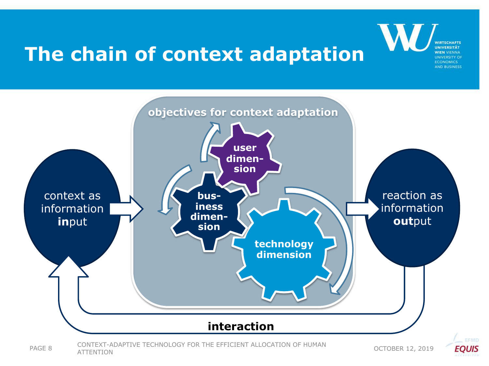# **The chain of context adaptation**



CONTEXT-ADAPTIVE TECHNOLOGY FOR THE EFFICIENT ALLOCATION OF HUMAN PAGE 8 CONTEXT ADAPTIVE TECHNOLOGY FOR THE EFFICIENT ALLOCATION OF HOMAIN COCTOBER 12, 2019





**NIRTSCHAFTS**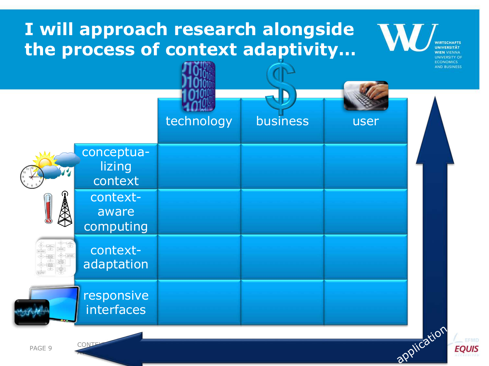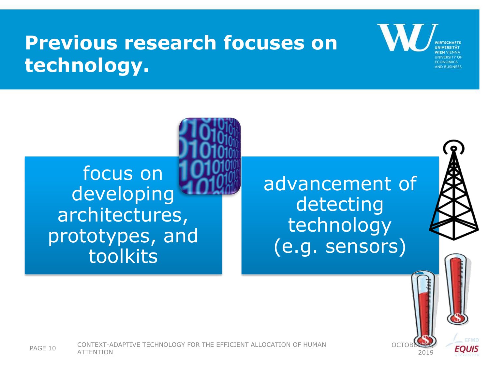### **Previous research focuses on technology.**

focus on developing architectures, prototypes, and toolkits

advancement of detecting technology (e.g. sensors)

OCTOBER 12,

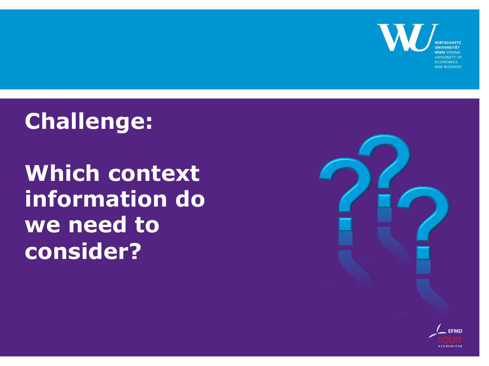**WIEN VIENNA UNIVERSITY OF ECONOMICS AND BUSINESS** 

### **Challenge:**

**Which context information do we need to consider?**



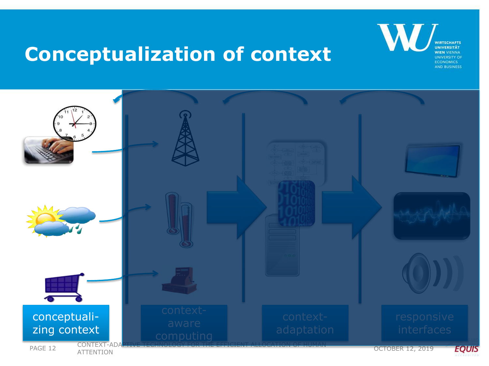#### **Conceptualization of context**

**WIRTSCHAFTS UNIVERSITÄT WIEN VIENNA UNIVERSITY OF ECONOMICS AND BUSINESS** 

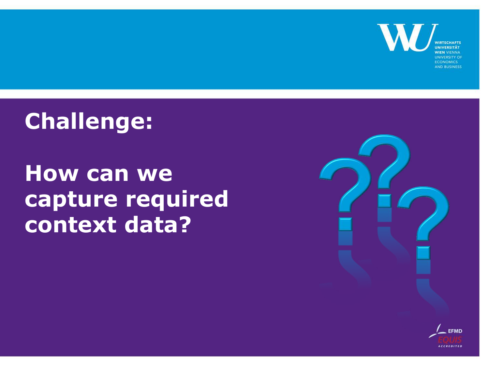

### **Challenge:**

### **How can we capture required context data?**



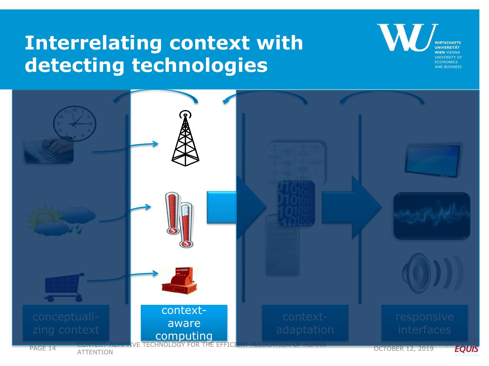### **Interrelating context with detecting technologies**

**UNIVERSITY O ECONOMICS AND BUSINESS** 

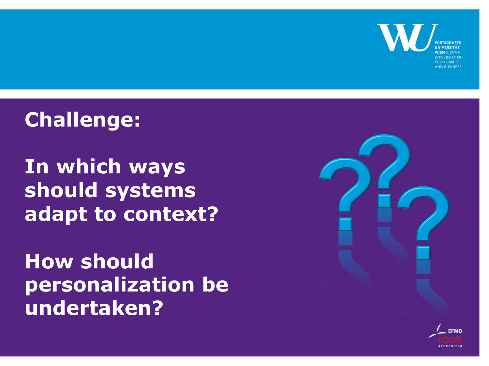

### **Challenge:**

**In which ways should systems adapt to context?**

**How should personalization be undertaken?**



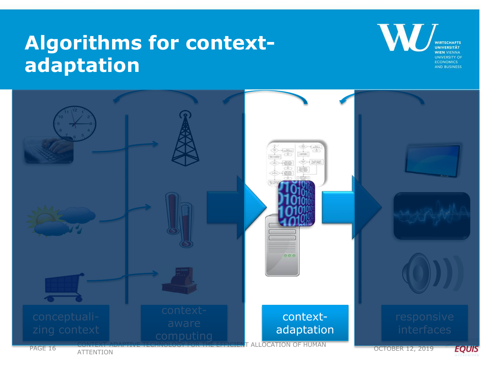### **Algorithms for contextadaptation**

W **WIRTSCHAFTS WIEN VIENNA UNIVERSITY OF ECONOMICS AND BUSINESS** 

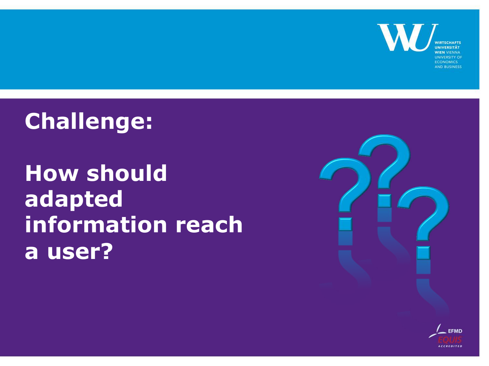

### **Challenge:**

# **How should adapted information reach a user?**



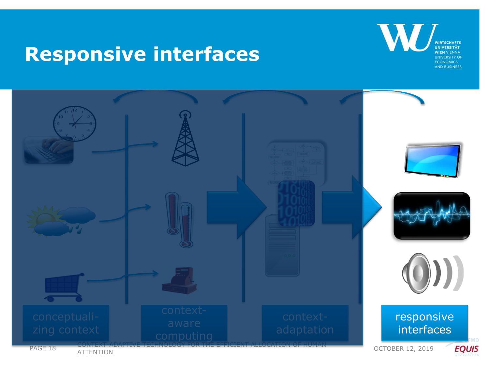#### **Responsive interfaces**